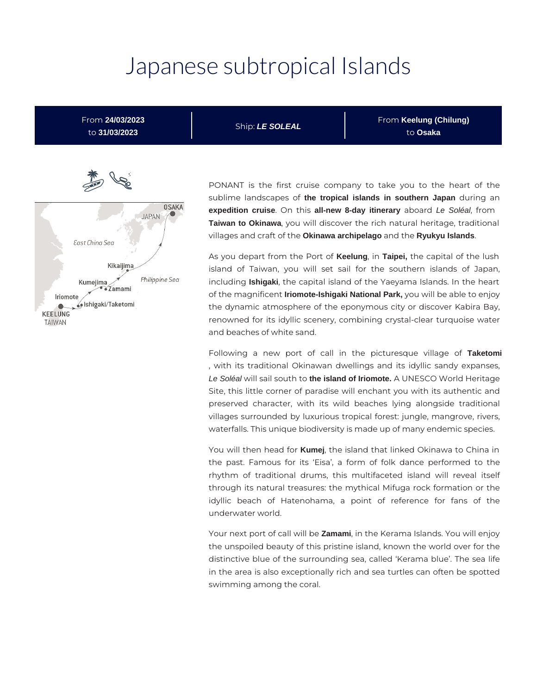# Japanese subtropical Islands

From **24/03/2023** to **31/03/2023**

Ship: **LE SOLEAL**

From **Keelung (Chilung)** to **Osaka**



PONANT is the first cruise company to take you to the heart of the sublime landscapes of **the tropical islands in southern Japan** during an **expedition cruise**. On this **all-new 8-day itinerary** aboard Le Soléal, from **Taiwan to Okinawa**, you will discover the rich natural heritage, traditional villages and craft of the **Okinawa archipelago** and the **Ryukyu Islands**.

As you depart from the Port of **Keelung**, in **Taipei,** the capital of the lush island of Taiwan, you will set sail for the southern islands of Japan, including **Ishigaki**, the capital island of the Yaeyama Islands. In the heart of the magnificent **Iriomote-Ishigaki National Park,** you will be able to enjoy the dynamic atmosphere of the eponymous city or discover Kabira Bay, renowned for its idyllic scenery, combining crystal-clear turquoise water and beaches of white sand.

Following a new port of call in the picturesque village of **Taketomi** , with its traditional Okinawan dwellings and its idyllic sandy expanses, Le Soléal will sail south to **the island of Iriomote.** A UNESCO World Heritage Site, this little corner of paradise will enchant you with its authentic and preserved character, with its wild beaches lying alongside traditional villages surrounded by luxurious tropical forest: jungle, mangrove, rivers, waterfalls. This unique biodiversity is made up of many endemic species.

You will then head for **Kumej**, the island that linked Okinawa to China in the past. Famous for its 'Eisa', a form of folk dance performed to the rhythm of traditional drums, this multifaceted island will reveal itself through its natural treasures: the mythical Mifuga rock formation or the idyllic beach of Hatenohama, a point of reference for fans of the underwater world.

Your next port of call will be **Zamami**, in the Kerama Islands. You will enjoy the unspoiled beauty of this pristine island, known the world over for the distinctive blue of the surrounding sea, called 'Kerama blue'. The sea life in the area is also exceptionally rich and sea turtles can often be spotted swimming among the coral.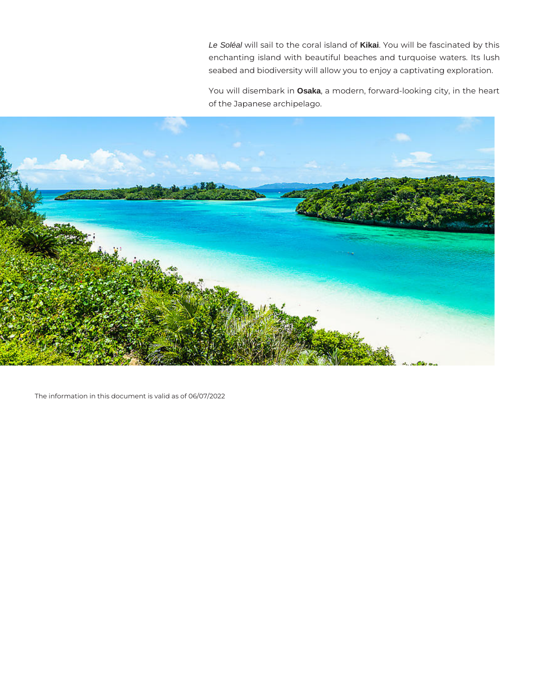Le Soléal will sail to the coral island of **Kikai**. You will be fascinated by this enchanting island with beautiful beaches and turquoise waters. Its lush seabed and biodiversity will allow you to enjoy a captivating exploration.

You will disembark in **Osaka**, a modern, forward-looking city, in the heart of the Japanese archipelago.



The information in this document is valid as of 06/07/2022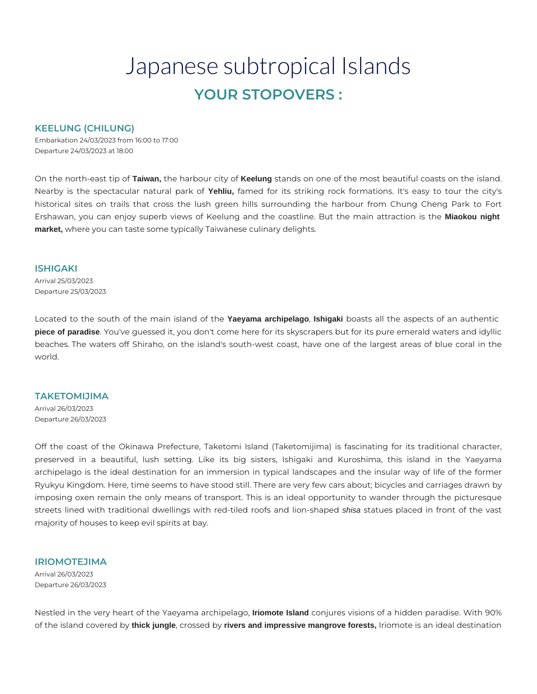# Japanese subtropical Islands **YOUR STOPOVERS :**

### **KEELUNG (CHILUNG)**

Embarkation 24/03/2023 from 16:00 to 17:00 Departure 24/03/2023 at 18:00

On the north-east tip of **Taiwan,** the harbour city of **Keelung** stands on one of the most beautiful coasts on the island. Nearby is the spectacular natural park of **Yehliu,** famed for its striking rock formations. It's easy to tour the city's historical sites on trails that cross the lush green hills surrounding the harbour from Chung Cheng Park to Fort Ershawan, you can enjoy superb views of Keelung and the coastline. But the main attraction is the **Miaokou night market,** where you can taste some typically Taiwanese culinary delights.

#### **ISHIGAKI**

Arrival 25/03/2023 Departure 25/03/2023

Located to the south of the main island of the **Yaeyama archipelago**, **Ishigaki** boasts all the aspects of an authentic **piece of paradise**. You've guessed it, you don't come here for its skyscrapers but for its pure emerald waters and idyllic beaches. The waters off Shiraho, on the island's south-west coast, have one of the largest areas of blue coral in the world.

#### **TAKETOMIJIMA**

Arrival 26/03/2023 Departure 26/03/2023

Off the coast of the Okinawa Prefecture, Taketomi Island (Taketomijima) is fascinating for its traditional character, preserved in a beautiful, lush setting. Like its big sisters, Ishigaki and Kuroshima, this island in the Yaeyama archipelago is the ideal destination for an immersion in typical landscapes and the insular way of life of the former Ryukyu Kingdom. Here, time seems to have stood still. There are very few cars about; bicycles and carriages drawn by imposing oxen remain the only means of transport. This is an ideal opportunity to wander through the picturesque streets lined with traditional dwellings with red-tiled roofs and lion-shaped shisa statues placed in front of the vast majority of houses to keep evil spirits at bay.

## **IRIOMOTEJIMA**

Arrival 26/03/2023 Departure 26/03/2023

Nestled in the very heart of the Yaeyama archipelago, **Iriomote Island** conjures visions of a hidden paradise. With 90% of the island covered by **thick jungle**, crossed by **rivers and impressive mangrove forests,** Iriomote is an ideal destination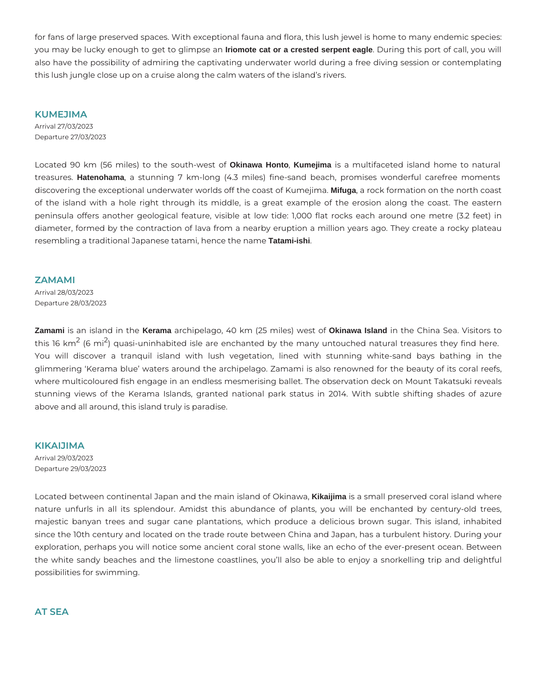for fans of large preserved spaces. With exceptional fauna and flora, this lush jewel is home to many endemic species: you may be lucky enough to get to glimpse an **Iriomote cat or a crested serpent eagle**. During this port of call, you will also have the possibility of admiring the captivating underwater world during a free diving session or contemplating this lush jungle close up on a cruise along the calm waters of the island's rivers.

**KUMEJIMA**  Arrival 27/03/2023 Departure 27/03/2023

Located 90 km (56 miles) to the south-west of **Okinawa Honto**, **Kumejima** is a multifaceted island home to natural treasures. **Hatenohama**, a stunning 7 km-long (4.3 miles) fine-sand beach, promises wonderful carefree moments discovering the exceptional underwater worlds off the coast of Kumejima. **Mifuga**, a rock formation on the north coast of the island with a hole right through its middle, is a great example of the erosion along the coast. The eastern peninsula offers another geological feature, visible at low tide: 1,000 flat rocks each around one metre (3.2 feet) in diameter, formed by the contraction of lava from a nearby eruption a million years ago. They create a rocky plateau resembling a traditional Japanese tatami, hence the name **Tatami-ishi**.

#### **ZAMAMI**

Arrival 28/03/2023 Departure 28/03/2023

**Zamami** is an island in the **Kerama** archipelago, 40 km (25 miles) west of **Okinawa Island** in the China Sea. Visitors to this 16 km<sup>2</sup> (6 mi<sup>2</sup>) quasi-uninhabited isle are enchanted by the many untouched natural treasures they find here. You will discover a tranquil island with lush vegetation, lined with stunning white-sand bays bathing in the glimmering 'Kerama blue' waters around the archipelago. Zamami is also renowned for the beauty of its coral reefs, where multicoloured fish engage in an endless mesmerising ballet. The observation deck on Mount Takatsuki reveals stunning views of the Kerama Islands, granted national park status in 2014. With subtle shifting shades of azure above and all around, this island truly is paradise.

**KIKAIJIMA**  Arrival 29/03/2023

Departure 29/03/2023

Located between continental Japan and the main island of Okinawa, **Kikaijima** is a small preserved coral island where nature unfurls in all its splendour. Amidst this abundance of plants, you will be enchanted by century-old trees, majestic banyan trees and sugar cane plantations, which produce a delicious brown sugar. This island, inhabited since the 10th century and located on the trade route between China and Japan, has a turbulent history. During your exploration, perhaps you will notice some ancient coral stone walls, like an echo of the ever-present ocean. Between the white sandy beaches and the limestone coastlines, you'll also be able to enjoy a snorkelling trip and delightful possibilities for swimming.

**AT SEA**